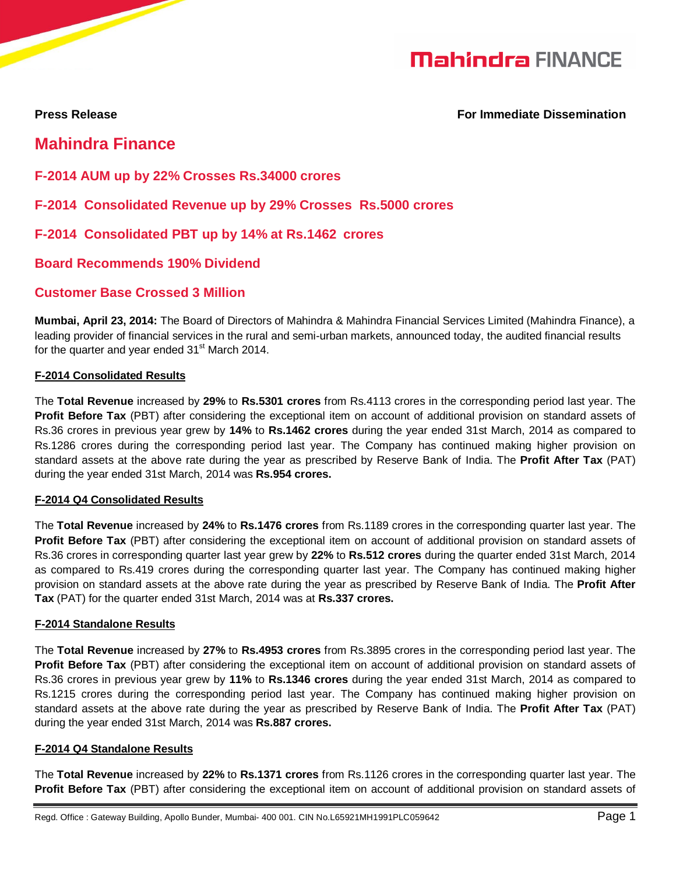# **Mahindra FINANCE**

 $\overline{\phantom{a}}$ 

**Press Release For Immediate Dissemination**

## **Mahindra Finance**

**F-2014 AUM up by 22% Crosses Rs.34000 crores** 

**F-2014 Consolidated Revenue up by 29% Crosses Rs.5000 crores** 

**F-2014 Consolidated PBT up by 14% at Rs.1462 crores**

**Board Recommends 190% Dividend**

### **Customer Base Crossed 3 Million**

**Mumbai, April 23, 2014:** The Board of Directors of Mahindra & Mahindra Financial Services Limited (Mahindra Finance), a leading provider of financial services in the rural and semi-urban markets, announced today, the audited financial results for the quarter and year ended 31<sup>st</sup> March 2014.

### **F-2014 Consolidated Results**

The **Total Revenue** increased by **29%** to **Rs.5301 crores** from Rs.4113 crores in the corresponding period last year. The **Profit Before Tax** (PBT) after considering the exceptional item on account of additional provision on standard assets of Rs.36 crores in previous year grew by **14%** to **Rs.1462 crores** during the year ended 31st March, 2014 as compared to Rs.1286 crores during the corresponding period last year. The Company has continued making higher provision on standard assets at the above rate during the year as prescribed by Reserve Bank of India. The **Profit After Tax** (PAT) during the year ended 31st March, 2014 was **Rs.954 crores.**

### **F-2014 Q4 Consolidated Results**

The **Total Revenue** increased by **24%** to **Rs.1476 crores** from Rs.1189 crores in the corresponding quarter last year. The **Profit Before Tax** (PBT) after considering the exceptional item on account of additional provision on standard assets of Rs.36 crores in corresponding quarter last year grew by **22%** to **Rs.512 crores** during the quarter ended 31st March, 2014 as compared to Rs.419 crores during the corresponding quarter last year. The Company has continued making higher provision on standard assets at the above rate during the year as prescribed by Reserve Bank of India. The **Profit After Tax** (PAT) for the quarter ended 31st March, 2014 was at **Rs.337 crores.**

### **F-2014 Standalone Results**

The **Total Revenue** increased by **27%** to **Rs.4953 crores** from Rs.3895 crores in the corresponding period last year. The **Profit Before Tax** (PBT) after considering the exceptional item on account of additional provision on standard assets of Rs.36 crores in previous year grew by **11%** to **Rs.1346 crores** during the year ended 31st March, 2014 as compared to Rs.1215 crores during the corresponding period last year. The Company has continued making higher provision on standard assets at the above rate during the year as prescribed by Reserve Bank of India. The **Profit After Tax** (PAT) during the year ended 31st March, 2014 was **Rs.887 crores.**

### **F-2014 Q4 Standalone Results**

The **Total Revenue** increased by **22%** to **Rs.1371 crores** from Rs.1126 crores in the corresponding quarter last year. The **Profit Before Tax** (PBT) after considering the exceptional item on account of additional provision on standard assets of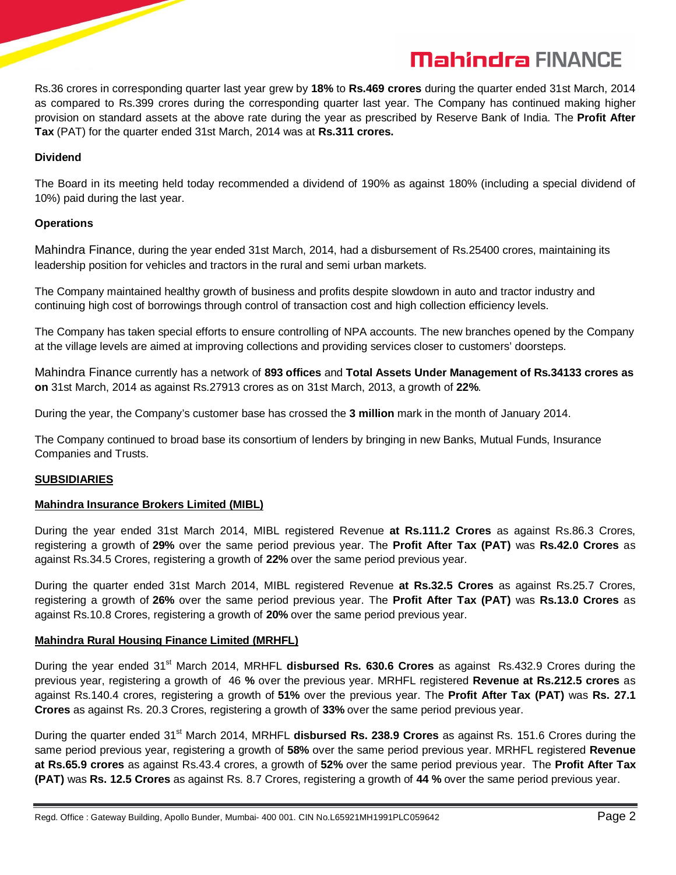# **Mahindra FINANCE**

Rs.36 crores in corresponding quarter last year grew by **18%** to **Rs.469 crores** during the quarter ended 31st March, 2014 as compared to Rs.399 crores during the corresponding quarter last year. The Company has continued making higher provision on standard assets at the above rate during the year as prescribed by Reserve Bank of India. The **Profit After Tax** (PAT) for the quarter ended 31st March, 2014 was at **Rs.311 crores.**

#### **Dividend**

The Board in its meeting held today recommended a dividend of 190% as against 180% (including a special dividend of 10%) paid during the last year.

#### **Operations**

Mahindra Finance, during the year ended 31st March, 2014, had a disbursement of Rs.25400 crores, maintaining its leadership position for vehicles and tractors in the rural and semi urban markets.

The Company maintained healthy growth of business and profits despite slowdown in auto and tractor industry and continuing high cost of borrowings through control of transaction cost and high collection efficiency levels.

The Company has taken special efforts to ensure controlling of NPA accounts. The new branches opened by the Company at the village levels are aimed at improving collections and providing services closer to customers' doorsteps.

Mahindra Finance currently has a network of **893 offices** and **Total Assets Under Management of Rs.34133 crores as on** 31st March, 2014 as against Rs.27913 crores as on 31st March, 2013, a growth of **22%**.

During the year, the Company's customer base has crossed the **3 million** mark in the month of January 2014.

The Company continued to broad base its consortium of lenders by bringing in new Banks, Mutual Funds, Insurance Companies and Trusts.

### **SUBSIDIARIES**

### **Mahindra Insurance Brokers Limited (MIBL)**

During the year ended 31st March 2014, MIBL registered Revenue **at Rs.111.2 Crores** as against Rs.86.3 Crores, registering a growth of **29%** over the same period previous year. The **Profit After Tax (PAT)** was **Rs.42.0 Crores** as against Rs.34.5 Crores, registering a growth of **22%** over the same period previous year.

During the quarter ended 31st March 2014, MIBL registered Revenue **at Rs.32.5 Crores** as against Rs.25.7 Crores, registering a growth of **26%** over the same period previous year. The **Profit After Tax (PAT)** was **Rs.13.0 Crores** as against Rs.10.8 Crores, registering a growth of **20%** over the same period previous year.

### **Mahindra Rural Housing Finance Limited (MRHFL)**

During the year ended 31<sup>st</sup> March 2014, MRHFL **disbursed Rs. 630.6 Crores** as against Rs.432.9 Crores during the previous year, registering a growth of 46 **%** over the previous year. MRHFL registered **Revenue at Rs.212.5 crores** as against Rs.140.4 crores, registering a growth of **51%** over the previous year. The **Profit After Tax (PAT)** was **Rs. 27.1 Crores** as against Rs. 20.3 Crores, registering a growth of **33%** over the same period previous year.

During the quarter ended 31st March 2014, MRHFL **disbursed Rs. 238.9 Crores** as against Rs. 151.6 Crores during the same period previous year, registering a growth of **58%** over the same period previous year. MRHFL registered **Revenue at Rs.65.9 crores** as against Rs.43.4 crores, a growth of **52%** over the same period previous year. The **Profit After Tax (PAT)** was **Rs. 12.5 Crores** as against Rs. 8.7 Crores, registering a growth of **44 %** over the same period previous year.